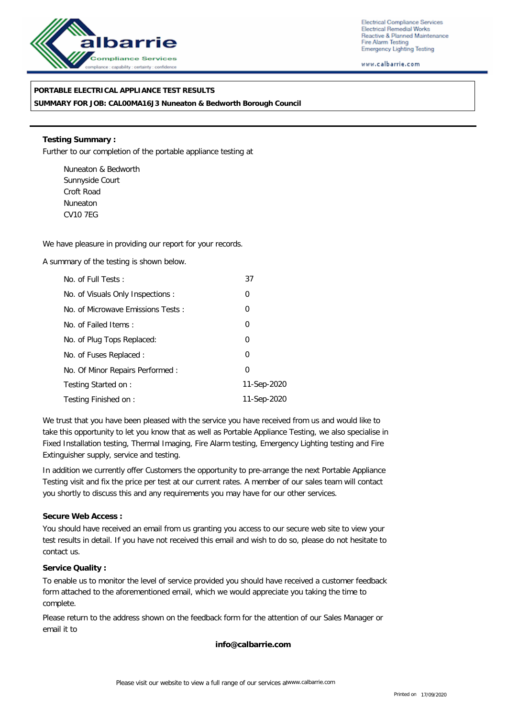

Electrical Compliance Services Electrical Remedial Works Reactive & Planned Maintenance Fire Alarm Testing **Emergency Lighting Testing** 

www.calbarrie.com

## **PORTABLE ELECTRICAL APPLIANCE TEST RESULTS**

**SUMMARY FOR JOB: CAL00MA16J3 Nuneaton & Bedworth Borough Council**

**Testing Summary :** Further to our completion of the portable appliance testing at

Nuneaton & Bedworth Sunnyside Court Croft Road Nuneaton CV10 7EG

We have pleasure in providing our report for your records.

A summary of the testing is shown below.

| No. of Full Tests:                | 37             |  |
|-----------------------------------|----------------|--|
| No. of Visuals Only Inspections:  | 0              |  |
| No. of Microwave Emissions Tests: | 0              |  |
| No. of Failed Items:              | $\overline{0}$ |  |
| No. of Plug Tops Replaced:        | $\overline{0}$ |  |
| No. of Fuses Replaced:            | 0              |  |
| No. Of Minor Repairs Performed:   | 0              |  |
| Testing Started on:               | 11-Sep-2020    |  |
| Testing Finished on:              | 11-Sep-2020    |  |

We trust that you have been pleased with the service you have received from us and would like to take this opportunity to let you know that as well as Portable Appliance Testing, we also specialise in Fixed Installation testing, Thermal Imaging, Fire Alarm testing, Emergency Lighting testing and Fire Extinguisher supply, service and testing.

In addition we currently offer Customers the opportunity to pre-arrange the next Portable Appliance Testing visit and fix the price per test at our current rates. A member of our sales team will contact you shortly to discuss this and any requirements you may have for our other services.

**Secure Web Access :**

You should have received an email from us granting you access to our secure web site to view your test results in detail. If you have not received this email and wish to do so, please do not hesitate to contact us.

**Service Quality :**

To enable us to monitor the level of service provided you should have received a customer feedback form attached to the aforementioned email, which we would appreciate you taking the time to complete.

Please return to the address shown on the feedback form for the attention of our Sales Manager or email it to

**info@calbarrie.com**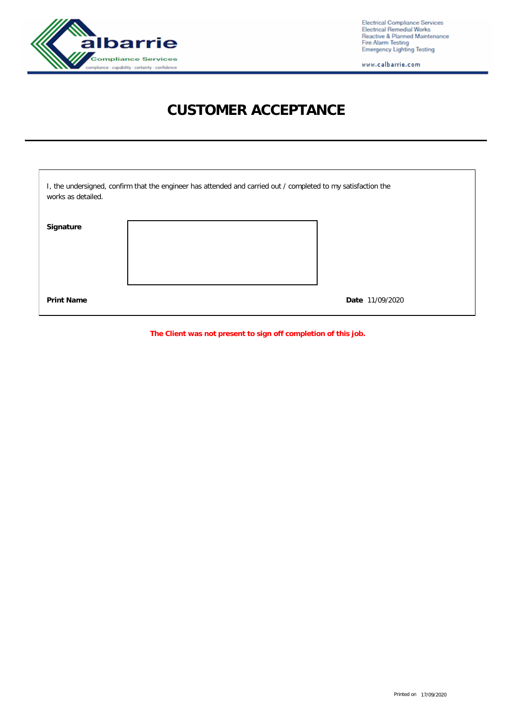

Electrical Compliance Services<br>Electrical Remedial Works<br>Reactive & Planned Maintenance<br>Fire Alarm Testing<br>Emergency Lighting Testing

www.calbarrie.com

## **CUSTOMER ACCEPTANCE**

| I, the undersigned, confirm that the engineer has attended and carried out / completed to my satisfaction the<br>works as detailed. |  |                 |  |  |  |  |
|-------------------------------------------------------------------------------------------------------------------------------------|--|-----------------|--|--|--|--|
| Signature                                                                                                                           |  |                 |  |  |  |  |
| <b>Print Name</b>                                                                                                                   |  | Date 11/09/2020 |  |  |  |  |

**The Client was not present to sign off completion of this job.**